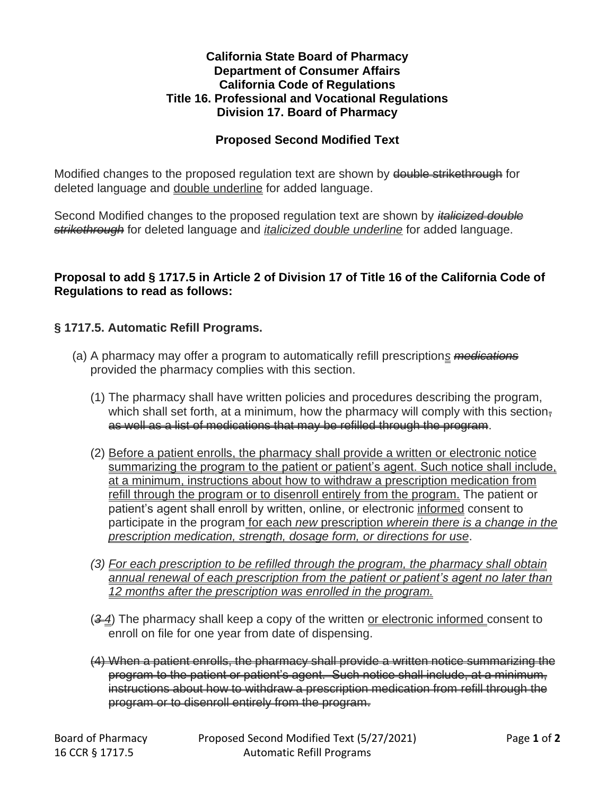## **California State Board of Pharmacy Department of Consumer Affairs California Code of Regulations Title 16. Professional and Vocational Regulations Division 17. Board of Pharmacy**

## **Proposed Second Modified Text**

Modified changes to the proposed regulation text are shown by <del>double strikethrough</del> for deleted language and double underline for added language.

Second Modified changes to the proposed regulation text are shown by *italicized double strikethrough* for deleted language and *italicized double underline* for added language.

## **Proposal to add § 1717.5 in Article 2 of Division 17 of Title 16 of the California Code of Regulations to read as follows:**

## **§ 1717.5. Automatic Refill Programs.**

- (a) A pharmacy may offer a program to automatically refill prescription*s medications* provided the pharmacy complies with this section.
	- (1) The pharmacy shall have written policies and procedures describing the program, which shall set forth, at a minimum, how the pharmacy will comply with this section $\frac{1}{2}$ as well as a list of medications that may be refilled through the program.
	- (2) Before a patient enrolls, the pharmacy shall provide a written or electronic notice summarizing the program to the patient or patient's agent. Such notice shall include, at a minimum, instructions about how to withdraw a prescription medication from refill through the program or to disenroll entirely from the program. The patient or patient's agent shall enroll by written, online, or electronic informed consent to participate in the program for each *new* prescription *wherein there is a change in the prescription medication, strength, dosage form, or directions for use*.
	- *(3) For each prescription to be refilled through the program, the pharmacy shall obtain annual renewal of each prescription from the patient or patient's agent no later than 12 months after the prescription was enrolled in the program.*
	- (*3 4*) The pharmacy shall keep a copy of the written or electronic informed consent to enroll on file for one year from date of dispensing.
	- (4) When a patient enrolls, the pharmacy shall provide a written notice summarizing the program to the patient or patient's agent. Such notice shall include, at a minimum, instructions about how to withdraw a prescription medication from refill through the program or to disenroll entirely from the program.